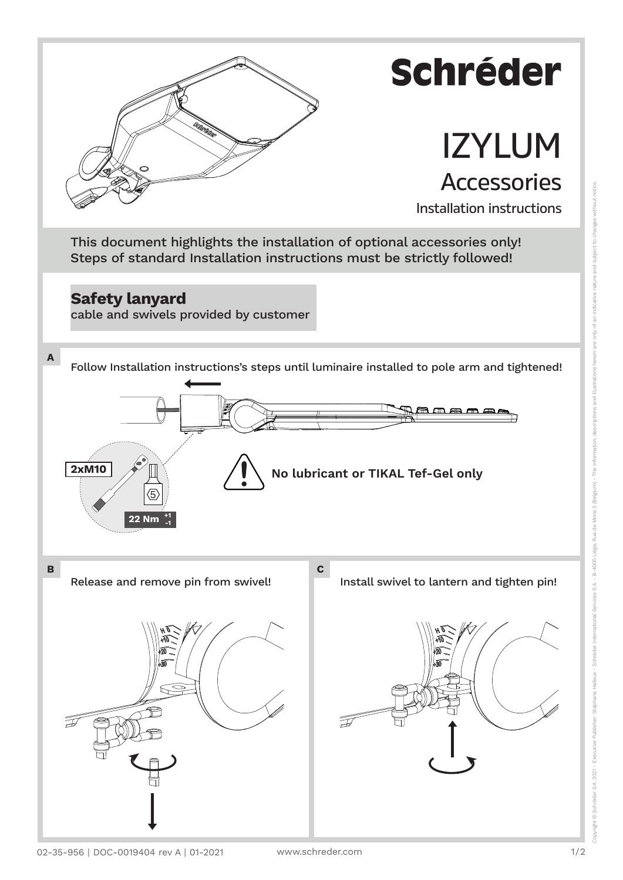